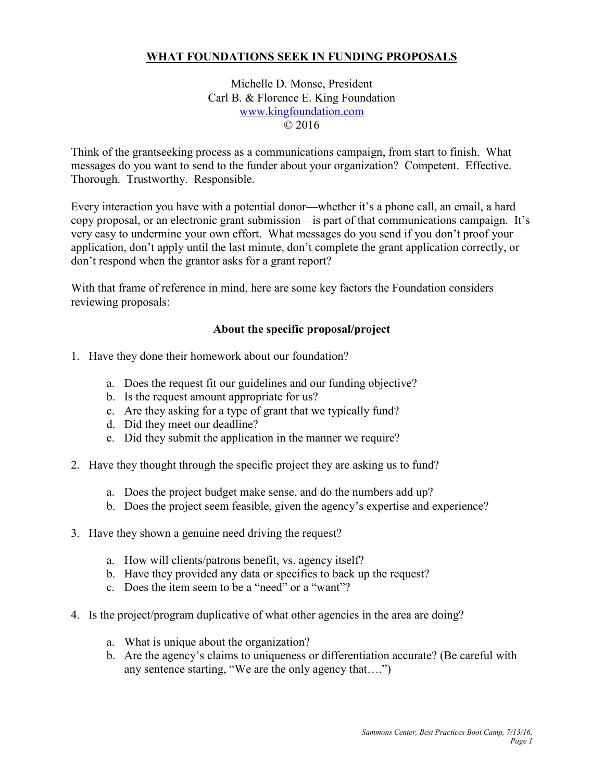## **WHAT FOUNDATIONS SEEK IN FUNDING PROPOSALS**

Michelle D. Monse, President Carl B. & Florence E. King Foundation [www.kingfoundation.com](http://www.kingfoundation.com/) © 2016

Think of the grantseeking process as a communications campaign, from start to finish. What messages do you want to send to the funder about your organization? Competent. Effective. Thorough. Trustworthy. Responsible.

Every interaction you have with a potential donor—whether it's a phone call, an email, a hard copy proposal, or an electronic grant submission—is part of that communications campaign. It's very easy to undermine your own effort. What messages do you send if you don't proof your application, don't apply until the last minute, don't complete the grant application correctly, or don't respond when the grantor asks for a grant report?

With that frame of reference in mind, here are some key factors the Foundation considers reviewing proposals:

## **About the specific proposal/project**

- 1. Have they done their homework about our foundation?
	- a. Does the request fit our guidelines and our funding objective?
	- b. Is the request amount appropriate for us?
	- c. Are they asking for a type of grant that we typically fund?
	- d. Did they meet our deadline?
	- e. Did they submit the application in the manner we require?
- 2. Have they thought through the specific project they are asking us to fund?
	- a. Does the project budget make sense, and do the numbers add up?
	- b. Does the project seem feasible, given the agency's expertise and experience?
- 3. Have they shown a genuine need driving the request?
	- a. How will clients/patrons benefit, vs. agency itself?
	- b. Have they provided any data or specifics to back up the request?
	- c. Does the item seem to be a "need" or a "want"?
- 4. Is the project/program duplicative of what other agencies in the area are doing?
	- a. What is unique about the organization?
	- b. Are the agency's claims to uniqueness or differentiation accurate? (Be careful with any sentence starting, "We are the only agency that….")